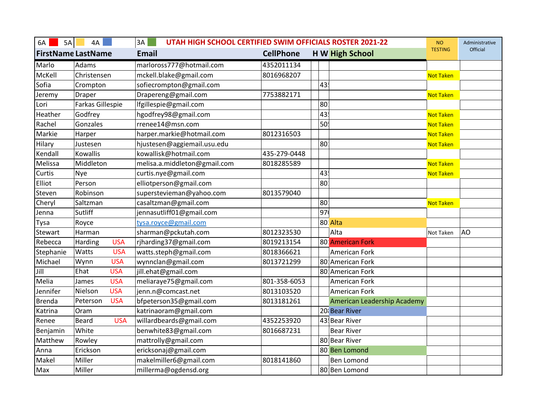| 6A<br>5A                  | 4A               |            | UTAH HIGH SCHOOL CERTIFIED SWIM OFFICIALS ROSTER 2021-22<br>3A |                  |  |                             | <b>NO</b>        | Administrative |
|---------------------------|------------------|------------|----------------------------------------------------------------|------------------|--|-----------------------------|------------------|----------------|
| <b>FirstName LastName</b> |                  |            | <b>Email</b>                                                   | <b>CellPhone</b> |  | <b>H W High School</b>      | <b>TESTING</b>   | Official       |
| Marlo                     | Adams            |            | marloross777@hotmail.com                                       | 4352011134       |  |                             |                  |                |
| McKell                    | Christensen      |            | mckell.blake@gmail.com                                         | 8016968207       |  |                             | <b>Not Taken</b> |                |
| Sofia                     | Crompton         |            | sofiecrompton@gmail.com                                        |                  |  | 43                          |                  |                |
| Jeremy                    | Draper           |            | Drapereng@gmail.com                                            | 7753882171       |  |                             | <b>Not Taken</b> |                |
| Lori                      | Farkas Gillespie |            | lfgillespie@gmail.com                                          |                  |  | 80                          |                  |                |
| Heather                   | Godfrey          |            | hgodfrey98@gmail.com                                           |                  |  | 43.                         | <b>Not Taken</b> |                |
| Rachel                    | Gonzales         |            | rrenee14@msn.com                                               |                  |  | 50                          | Not Taken        |                |
| Markie                    | Harper           |            | harper.markie@hotmail.com                                      | 8012316503       |  |                             | <b>Not Taken</b> |                |
| Hilary                    | Justesen         |            | hjustesen@aggiemail.usu.edu                                    |                  |  | 80                          | <b>Not Taken</b> |                |
| Kendall                   | Kowallis         |            | kowallisk@hotmail.com                                          | 435-279-0448     |  |                             |                  |                |
| Melissa                   | Middleton        |            | melisa.a.middleton@gmail.com                                   | 8018285589       |  |                             | <b>Not Taken</b> |                |
| Curtis                    | Nye              |            | curtis.nye@gmail.com                                           |                  |  | 43.                         | <b>Not Taken</b> |                |
| Elliot                    | Person           |            | elliotperson@gmail.com                                         |                  |  | 80                          |                  |                |
| Steven                    | Robinson         |            | superstevieman@yahoo.com                                       | 8013579040       |  |                             |                  |                |
| Cheryl                    | Saltzman         |            | casaltzman@gmail.com                                           |                  |  | 80                          | <b>Not Taken</b> |                |
| Jenna                     | Sutliff          |            | jennasutliff01@gmail.com                                       |                  |  | 97                          |                  |                |
| Tysa                      | Royce            |            | tysa.royce@gmail.com                                           |                  |  | 80 Alta                     |                  |                |
| Stewart                   | Harman           |            | sharman@pckutah.com                                            | 8012323530       |  | Alta                        | Not Taken        | AO             |
| Rebecca                   | Harding          | <b>USA</b> | rjharding37@gmail.com                                          | 8019213154       |  | 80: American Fork           |                  |                |
| Stephanie                 | Watts            | <b>USA</b> | watts.steph@gmail.com                                          | 8018366621       |  | American Fork               |                  |                |
| Michael                   | Wynn             | <b>USA</b> | wynnclan@gmail.com                                             | 8013721299       |  | 80 American Fork            |                  |                |
| Jill                      | Ehat             | <b>USA</b> | jill.ehat@gmail.com                                            |                  |  | 80 American Fork            |                  |                |
| Melia                     | James            | <b>USA</b> | meliaraye75@gmail.com                                          | 801-358-6053     |  | American Fork               |                  |                |
| Jennifer                  | Nielson          | <b>USA</b> | jenn.n@comcast.net                                             | 8013103520       |  | American Fork               |                  |                |
| <b>Brenda</b>             | Peterson         | <b>USA</b> | bfpeterson35@gmail.com                                         | 8013181261       |  | American Leadership Academy |                  |                |
| Katrina                   | Oram             |            | katrinaoram@gmail.com                                          |                  |  | 20 Bear River               |                  |                |
| Renee                     | <b>Beard</b>     | <b>USA</b> | willardbeards@gmail.com                                        | 4352253920       |  | 43! Bear River              |                  |                |
| Benjamin                  | White            |            | benwhite83@gmail.com                                           | 8016687231       |  | <b>Bear River</b>           |                  |                |
| Matthew                   | Rowley           |            | mattrolly@gmail.com                                            |                  |  | 80 Bear River               |                  |                |
| Anna                      | Erickson         |            | ericksonaj@gmail.com                                           |                  |  | 80: Ben Lomond              |                  |                |
| Makel                     | Miller           |            | makelmiller6@gmail.com                                         | 8018141860       |  | Ben Lomond                  |                  |                |
| Max                       | Miller           |            | millerma@ogdensd.org                                           |                  |  | 80 Ben Lomond               |                  |                |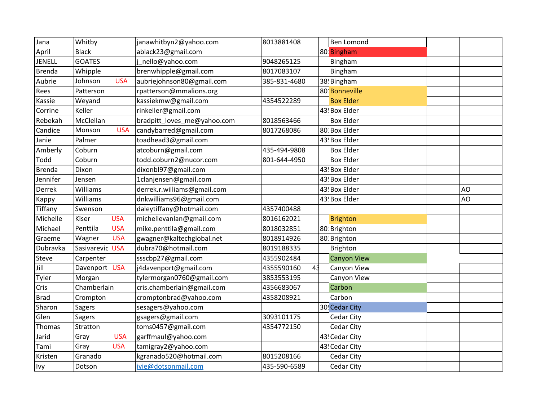| Jana          | Whitby                 | janawhitbyn2@yahoo.com      | 8013881408   |                | Ben Lomond         |    |
|---------------|------------------------|-----------------------------|--------------|----------------|--------------------|----|
| April         | <b>Black</b>           | ablack23@gmail.com          |              |                | 80 Bingham         |    |
| <b>JENELL</b> | <b>GOATES</b>          | nello@yahoo.com             | 9048265125   |                | Bingham            |    |
| Brenda        | Whipple                | brenwhipple@gmail.com       | 8017083107   |                | Bingham            |    |
| Aubrie        | <b>USA</b><br>Johnson  | aubriejohnson80@gmail.com   | 385-831-4680 |                | 38! Bingham        |    |
| Rees          | Patterson              | rpatterson@mmalions.org     |              |                | 80: Bonneville     |    |
| Kassie        | Weyand                 | kassiekmw@gmail.com         | 4354522289   |                | <b>Box Elder</b>   |    |
| Corrine       | Keller                 | rinkeller@gmail.com         |              |                | 43 Box Elder       |    |
| Rebekah       | McClellan              | bradpitt_loves_me@yahoo.com | 8018563466   |                | <b>Box Elder</b>   |    |
| Candice       | Monson<br><b>USA</b>   | candybarred@gmail.com       | 8017268086   |                | 80 Box Elder       |    |
| Janie         | Palmer                 | toadhead3@gmail.com         |              |                | 43 Box Elder       |    |
| Amberly       | Coburn                 | atcoburn@gmail.com          | 435-494-9808 |                | <b>Box Elder</b>   |    |
| Todd          | Coburn                 | todd.coburn2@nucor.com      | 801-644-4950 |                | <b>Box Elder</b>   |    |
| <b>Brenda</b> | Dixon                  | dixonbl97@gmail.com         |              |                | 43! Box Elder      |    |
| Jennifer      | Jensen                 | 1clanjensen@gmail.com       |              |                | 43 Box Elder       |    |
| Derrek        | Williams               | derrek.r.williams@gmail.com |              |                | 43! Box Elder      | AO |
| Kappy         | Williams               | dnkwilliams96@gmail.com     |              |                | 43 Box Elder       | AO |
| Tiffany       | Swenson                | daleytiffany@hotmail.com    | 4357400488   |                |                    |    |
| Michelle      | <b>USA</b><br>Kiser    | michellevanlan@gmail.com    | 8016162021   |                | <b>Brighton</b>    |    |
| Michael       | <b>USA</b><br>Penttila | mike.penttila@gmail.com     | 8018032851   |                | 80 Brighton        |    |
| Graeme        | <b>USA</b><br>Wagner   | gwagner@kaltechglobal.net   | 8018914926   |                | 80 Brighton        |    |
| Dubravka      | Sasivarevic USA        | dubra70@hotmail.com         | 8019188335   |                | <b>Brighton</b>    |    |
| Steve         | Carpenter              | ssscbp27@gmail.com          | 4355902484   |                | <b>Canyon View</b> |    |
| Jill          | Davenport USA          | j4davenport@gmail.com       | 4355590160   | 4 <sup>3</sup> | Canyon View        |    |
| Tyler         | Morgan                 | tylermorgan0760@gmail.com   | 3853553195   |                | Canyon View        |    |
| Cris          | Chamberlain            | cris.chamberlain@gmail.com  | 4356683067   |                | Carbon             |    |
| <b>Brad</b>   | Crompton               | cromptonbrad@yahoo.com      | 4358208921   |                | Carbon             |    |
| Sharon        | Sagers                 | sesagers@yahoo.com          |              |                | 30! Cedar City     |    |
| Glen          | Sagers                 | gsagers@gmail.com           | 3093101175   |                | Cedar City         |    |
| Thomas        | Stratton               | toms0457@gmail.com          | 4354772150   |                | Cedar City         |    |
| Jarid         | <b>USA</b><br>Gray     | garffmaul@yahoo.com         |              |                | 43! Cedar City     |    |
| Tami          | <b>USA</b><br>Gray     | tamigray2@yahoo.com         |              |                | 43! Cedar City     |    |
| Kristen       | Granado                | kgranado520@hotmail.com     | 8015208166   |                | Cedar City         |    |
| Ivy           | Dotson                 | ivie@dotsonmail.com         | 435-590-6589 |                | Cedar City         |    |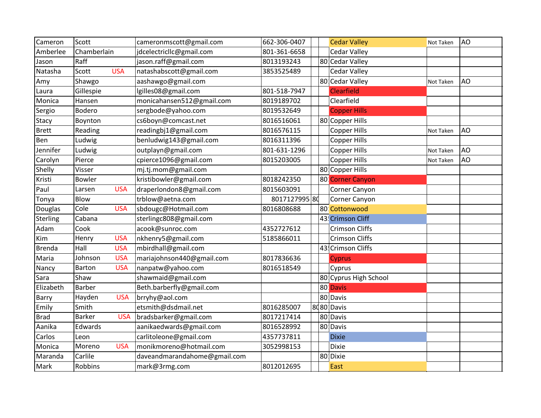| Cameron      | Scott         |            | cameronmscott@gmail.com      | 662-306-0407  |  | <b>Cedar Valley</b>           | Not Taken | AO |
|--------------|---------------|------------|------------------------------|---------------|--|-------------------------------|-----------|----|
| Amberlee     | Chamberlain   |            | jdcelectricllc@gmail.com     | 801-361-6658  |  | <b>Cedar Valley</b>           |           |    |
| Jason        | Raff          |            | jason.raff@gmail.com         | 8013193243    |  | 80 Cedar Valley               |           |    |
| Natasha      | Scott         | <b>USA</b> | natashabscott@gmail.com      | 3853525489    |  | <b>Cedar Valley</b>           |           |    |
| Amy          | Shawgo        |            | aashawgo@gmail.com           |               |  | 80 Cedar Valley               | Not Taken | AO |
| Laura        | Gillespie     |            | lgilles08@gmail.com          | 801-518-7947  |  | <b>Clearfield</b>             |           |    |
| Monica       | Hansen        |            | monicahansen512@gmail.com    | 8019189702    |  | Clearfield                    |           |    |
| Sergio       | Bodero        |            | sergbode@yahoo.com           | 8019532649    |  | <b>Copper Hills</b>           |           |    |
| Stacy        | Boynton       |            | cs6boyn@comcast.net          | 8016516061    |  | 80 Copper Hills               |           |    |
| <b>Brett</b> | Reading       |            | readingbj1@gmail.com         | 8016576115    |  | <b>Copper Hills</b>           | Not Taken | AO |
| Ben          | Ludwig        |            | benludwig143@gmail.com       | 8016311396    |  | <b>Copper Hills</b>           |           |    |
| Jennifer     | Ludwig        |            | outplayn@gmail.com           | 801-631-1296  |  | <b>Copper Hills</b>           | Not Taken | AO |
| Carolyn      | Pierce        |            | cpierce1096@gmail.com        | 8015203005    |  | Copper Hills                  | Not Taken | AO |
| Shelly       | Visser        |            | mj.tj.mom@gmail.com          |               |  | 80 Copper Hills               |           |    |
| Kristi       | <b>Bowler</b> |            | kristibowler@gmail.com       | 8018242350    |  | 80 <sup>1</sup> Corner Canyon |           |    |
| Paul         | Larsen        | <b>USA</b> | draperlondon8@gmail.com      | 8015603091    |  | Corner Canyon                 |           |    |
| Tonya        | Blow          |            | trblow@aetna.com             | 8017127995 80 |  | Corner Canyon                 |           |    |
| Douglas      | Cole          | <b>USA</b> | sbdougc@Hotmail.com          | 8016808688    |  | 80: Cottonwood                |           |    |
| Sterling     | Cabana        |            | sterlingc808@gmail.com       |               |  | 43! Crimson Cliff             |           |    |
| Adam         | Cook          |            | acook@sunroc.com             | 4352727612    |  | <b>Crimson Cliffs</b>         |           |    |
| Kim          | Henry         | <b>USA</b> | nkhenry5@gmail.com           | 5185866011    |  | <b>Crimson Cliffs</b>         |           |    |
| Brenda       | Hall          | <b>USA</b> | mbirdhall@gmail.com          |               |  | 43 Crimson Cliffs             |           |    |
| Maria        | Johnson       | <b>USA</b> | mariajohnson440@gmail.com    | 8017836636    |  | <b>Cyprus</b>                 |           |    |
| Nancy        | <b>Barton</b> | <b>USA</b> | nanpatw@yahoo.com            | 8016518549    |  | Cyprus                        |           |    |
| Sara         | Shaw          |            | shawmaid@gmail.com           |               |  | 80 Cyprus High School         |           |    |
| Elizabeth    | <b>Barber</b> |            | Beth.barberfly@gmail.com     |               |  | 80 Davis                      |           |    |
| Barry        | Hayden        | <b>USA</b> | brryhy@aol.com               |               |  | 80 Davis                      |           |    |
| Emily        | Smith         |            | etsmith@dsdmail.net          | 8016285007    |  | 8080 Davis                    |           |    |
| <b>Brad</b>  | <b>Barker</b> | <b>USA</b> | bradsbarker@gmail.com        | 8017217414    |  | 80 Davis                      |           |    |
| Aanika       | Edwards       |            | aanikaedwards@gmail.com      | 8016528992    |  | 80 Davis                      |           |    |
| Carlos       | Leon          |            | carlitoleone@gmail.com       | 4357737811    |  | <b>Dixie</b>                  |           |    |
| Monica       | Moreno        | <b>USA</b> | monikmoreno@hotmail.com      | 3052998153    |  | <b>Dixie</b>                  |           |    |
| Maranda      | Carlile       |            | daveandmarandahome@gmail.com |               |  | 80 Dixie                      |           |    |
| Mark         | Robbins       |            | mark@3rmg.com                | 8012012695    |  | East                          |           |    |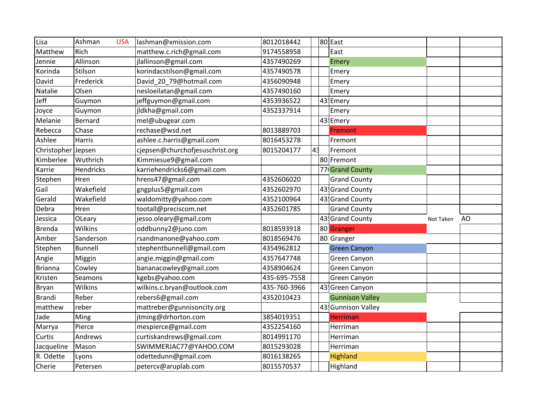| Lisa          | Ashman         | <b>USA</b> | lashman@xmission.com            | 8012018442   |    | 80 East                 |           |                |
|---------------|----------------|------------|---------------------------------|--------------|----|-------------------------|-----------|----------------|
| Matthew       | Rich           |            | matthew.c.rich@gmail.com        | 9174558958   |    | East                    |           |                |
| Jennie        | Allinson       |            | jlallinson@gmail.com            | 4357490269   |    | Emery                   |           |                |
| Korinda       | Stilson        |            | korindacstilson@gmail.com       | 4357490578   |    | Emery                   |           |                |
| David         | Frederick      |            | David_20_79@hotmail.com         | 4356090948   |    | Emery                   |           |                |
| Natalie       | Olsen          |            | nesloeilatan@gmail.com          | 4357490160   |    | Emery                   |           |                |
| Jeff          | Guymon         |            | jeffguymon@gmail.com            | 4353936522   |    | 43 Emery                |           |                |
| Joyce         | Guymon         |            | jldkha@gmail.com                | 4352337914   |    | Emery                   |           |                |
| Melanie       | Bernard        |            | mel@ubugear.com                 |              |    | 43! Emery               |           |                |
| Rebecca       | Chase          |            | rechase@wsd.net                 | 8013889703   |    | Fremont                 |           |                |
| Ashlee        | Harris         |            | ashlee.c.harris@gmail.com       | 8016453278   |    | Fremont                 |           |                |
| Christopher   | Jepsen         |            | cjepsen@churchofjesuschrist.org | 8015204177   | 43 | Fremont                 |           |                |
| Kimberlee     | Wuthrich       |            | Kimmiesue9@gmail.com            |              |    | 80 Fremont              |           |                |
| Karrie        | Hendricks      |            | karriehendricks6@gmail.com      |              |    | 77 Grand County         |           |                |
| Stephen       | Hren           |            | hrens47@gmail.com               | 4352606020   |    | <b>Grand County</b>     |           |                |
| Gail          | Wakefield      |            | gngplus5@gmail.com              | 4352602970   |    | 43 Grand County         |           |                |
| Gerald        | Wakefield      |            | waldomitty@yahoo.com            | 4352100964   |    | 43 Grand County         |           |                |
| Debra         | Hren           |            | tootall@preciscom.net           | 4352601785   |    | <b>Grand County</b>     |           |                |
| Jessica       | OLeary         |            | jesso.oleary@gmail.com          |              |    | 43 Grand County         | Not Taken | A <sub>O</sub> |
| <b>Brenda</b> | Wilkins        |            | oddbunny2@juno.com              | 8018593918   |    | 80 <sup>:</sup> Granger |           |                |
| Amber         | Sanderson      |            | rsandmanone@yahoo.com           | 8018569476   |    | 80 Granger              |           |                |
| Stephen       | <b>Bunnell</b> |            | stephentbunnell@gmail.com       | 4354962812   |    | <b>Green Canyon</b>     |           |                |
| Angie         | Miggin         |            | angie.miggin@gmail.com          | 4357647748   |    | Green Canyon            |           |                |
| Brianna       | Cowley         |            | bananacowley@gmail.com          | 4358904624   |    | Green Canyon            |           |                |
| Kristen       | Seamons        |            | kgebs@yahoo.com                 | 435-695-7558 |    | Green Canyon            |           |                |
| Bryan         | Wilkins        |            | wilkins.c.bryan@outlook.com     | 435-760-3966 |    | 43! Green Canyon        |           |                |
| <b>Brandi</b> | Reber          |            | rebers6@gmail.com               | 4352010423   |    | <b>Gunnison Valley</b>  |           |                |
| matthew       | reber          |            | mattreber@gunnisoncity.org      |              |    | 43 Gunnison Valley      |           |                |
| Jade          | Ming           |            | jtming@drhorton.com             | 3854019351   |    | Herriman                |           |                |
| Marrya        | Pierce         |            | mespierce@gmail.com             | 4352254160   |    | Herriman                |           |                |
| Curtis        | Andrews        |            | curtiskandrews@gmail.com        | 8014991170   |    | Herriman                |           |                |
| Jacqueline    | Mason          |            | SWIMMERJAC77@YAHOO.COM          | 8015293028   |    | Herriman                |           |                |
| R. Odette     | Lyons          |            | odettedunn@gmail.com            | 8016138265   |    | Highland                |           |                |
| Cherie        | Petersen       |            | petercv@aruplab.com             | 8015570537   |    | Highland                |           |                |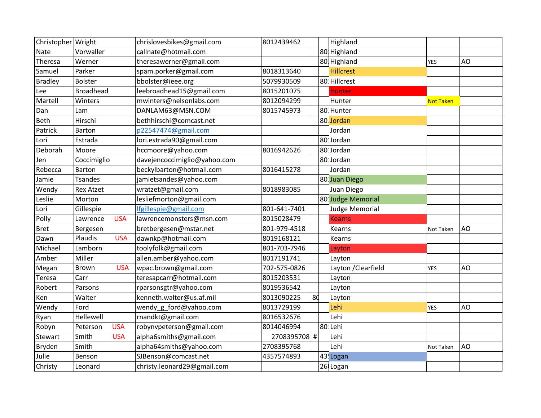| Christopher Wright |                        | chrislovesbikes@gmail.com    | 8012439462   |    | Highland              |                  |    |
|--------------------|------------------------|------------------------------|--------------|----|-----------------------|------------------|----|
| <b>Nate</b>        | Vorwaller              | callnate@hotmail.com         |              |    | 80 Highland           |                  |    |
| Theresa            | Werner                 | theresawerner@gmail.com      |              |    | 80 Highland           | <b>YES</b>       | AO |
| Samuel             | Parker                 | spam.porker@gmail.com        | 8018313640   |    | <b>Hillcrest</b>      |                  |    |
| <b>Bradley</b>     | <b>Bolster</b>         | bbolster@ieee.org            | 5079930509   |    | 80 Hillcrest          |                  |    |
| Lee                | <b>Broadhead</b>       | leebroadhead15@gmail.com     | 8015201075   |    | <b>Hunter</b>         |                  |    |
| Martell            | Winters                | mwinters@nelsonlabs.com      | 8012094299   |    | Hunter                | <b>Not Taken</b> |    |
| Dan                | Lam                    | DANLAM63@MSN.COM             | 8015745973   |    | 80 Hunter             |                  |    |
| Beth               | Hirschi                | bethhirschi@comcast.net      |              |    | 80: Jordan            |                  |    |
| Patrick            | Barton                 | p22547474@gmail.com          |              |    | Jordan                |                  |    |
| Lori               | Estrada                | lori.estrada90@gmail.com     |              |    | 80 Jordan             |                  |    |
| Deborah            | Moore                  | hccmoore@yahoo.com           | 8016942626   |    | 80 Jordan             |                  |    |
| Jen                | Coccimiglio            | davejencoccimiglio@yahoo.com |              |    | 80 Jordan             |                  |    |
| Rebecca            | Barton                 | beckylbarton@hotmail.com     | 8016415278   |    | Jordan                |                  |    |
| Jamie              | <b>Tsandes</b>         | jamietsandes@yahoo.com       |              |    | 80 Juan Diego         |                  |    |
| Wendy              | <b>Rex Atzet</b>       | wratzet@gmail.com            | 8018983085   |    | Juan Diego            |                  |    |
| Leslie             | Morton                 | lesliefmorton@gmail.com      |              |    | 80 Judge Memorial     |                  |    |
| Lori               | Gillespie              | Ifgillespie@gmail.com        | 801-641-7401 |    | <b>Judge Memorial</b> |                  |    |
| Polly              | <b>USA</b><br>Lawrence | lawrencemonsters@msn.com     | 8015028479   |    | <b>Kearns</b>         |                  |    |
| <b>Bret</b>        | Bergesen               | bretbergesen@mstar.net       | 801-979-4518 |    | Kearns                | Not Taken        | AO |
| Dawn               | Plaudis<br><b>USA</b>  | dawnkp@hotmail.com           | 8019168121   |    | Kearns                |                  |    |
| Michael            | Lamborn                | toolyfolk@gmail.com          | 801-703-7946 |    | Layton                |                  |    |
| Amber              | Miller                 | allen.amber@yahoo.com        | 8017191741   |    | Layton                |                  |    |
| Megan              | <b>USA</b><br>Brown    | wpac.brown@gmail.com         | 702-575-0826 |    | Layton / Clearfield   | <b>YES</b>       | AO |
| Teresa             | Carr                   | teresapcarr@hotmail.com      | 8015203531   |    | Layton                |                  |    |
| Robert             | Parsons                | rparsonsgtr@yahoo.com        | 8019536542   |    | Layton                |                  |    |
| Ken                | Walter                 | kenneth.walter@us.af.mil     | 8013090225   | 8d | Layton                |                  |    |
| Wendy              | Ford                   | wendy_g_ford@yahoo.com       | 8013729199   |    | Lehi                  | <b>YES</b>       | AO |
| Ryan               | Hellewell              | rnandkt@gmail.com            | 8016532676   |    | Lehi                  |                  |    |
| Robyn              | <b>USA</b><br>Peterson | robynvpeterson@gmail.com     | 8014046994   |    | 80 Lehi               |                  |    |
| <b>Stewart</b>     | Smith<br><b>USA</b>    | alpha6smiths@gmail.com       | 2708395708 # |    | Lehi                  |                  |    |
| Bryden             | Smith                  | alpha64smiths@yahoo.com      | 2708395768   |    | Lehi                  | Not Taken        | AO |
| Julie              | Benson                 | SJBenson@comcast.net         | 4357574893   |    | 43! Logan             |                  |    |
| Christy            | Leonard                | christy.leonard29@gmail.com  |              |    | 26 Logan              |                  |    |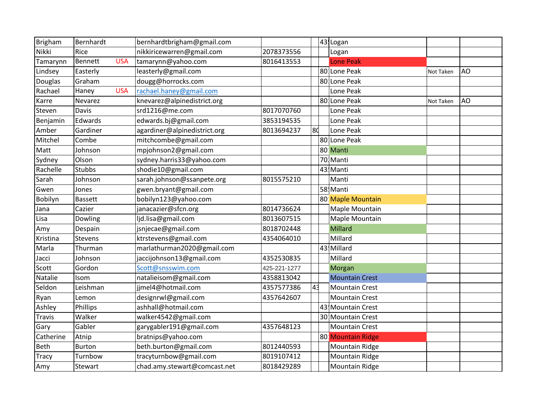| Brigham       | Bernhardt      |            | bernhardtbrigham@gmail.com   |              |                | 43! Logan             |           |    |
|---------------|----------------|------------|------------------------------|--------------|----------------|-----------------------|-----------|----|
| Nikki         | Rice           |            | nikkiricewarren@gmail.com    | 2078373556   |                | Logan                 |           |    |
| Tamarynn      | Bennett        | <b>USA</b> | tamarynn@yahoo.com           | 8016413553   |                | <b>Lone Peak</b>      |           |    |
| Lindsey       | Easterly       |            | leasterly@gmail.com          |              |                | 80 Lone Peak          | Not Taken | AO |
| Douglas       | Graham         |            | dougg@horrocks.com           |              |                | 80 Lone Peak          |           |    |
| Rachael       | Haney          | <b>USA</b> | rachael.haney@gmail.com      |              |                | Lone Peak             |           |    |
| Karre         | Nevarez        |            | knevarez@alpinedistrict.org  |              |                | 80 Lone Peak          | Not Taken | AO |
| Steven        | Davis          |            | srd1216@me.com               | 8017070760   |                | Lone Peak             |           |    |
| Benjamin      | Edwards        |            | edwards.bj@gmail.com         | 3853194535   |                | Lone Peak             |           |    |
| Amber         | Gardiner       |            | agardiner@alpinedistrict.org | 8013694237   | 8d             | Lone Peak             |           |    |
| Mitchel       | Combe          |            | mitchcombe@gmail.com         |              |                | 80 Lone Peak          |           |    |
| Matt          | Johnson        |            | mpjohnson2@gmail.com         |              |                | 80 Manti              |           |    |
| Sydney        | Olson          |            | sydney.harris33@yahoo.com    |              |                | 70. Manti             |           |    |
| Rachelle      | <b>Stubbs</b>  |            | shodie10@gmail.com           |              |                | 43! Manti             |           |    |
| Sarah         | Johnson        |            | sarah.johnson@ssanpete.org   | 8015575210   |                | Manti                 |           |    |
| Gwen          | Jones          |            | gwen.bryant@gmail.com        |              |                | 58 Manti              |           |    |
| Bobilyn       | <b>Bassett</b> |            | bobilyn123@yahoo.com         |              |                | 80: Maple Mountain    |           |    |
| Jana          | Cazier         |            | janacazier@sfcn.org          | 8014736624   |                | Maple Mountain        |           |    |
| Lisa          | Dowling        |            | ljd.lisa@gmail.com           | 8013607515   |                | Maple Mountain        |           |    |
| Amy           | Despain        |            | jsnjecae@gmail.com           | 8018702448   |                | Millard               |           |    |
| Kristina      | Stevens        |            | ktrstevens@gmail.com         | 4354064010   |                | Millard               |           |    |
| Marla         | Thurman        |            | marlathurman2020@gmail.com   |              |                | 43! Millard           |           |    |
| Jacci         | Johnson        |            | jaccijohnson13@gmail.com     | 4352530835   |                | Millard               |           |    |
| Scott         | Gordon         |            | Scott@snsswim.com            | 425-221-1277 |                | Morgan                |           |    |
| Natalie       | Isom           |            | natalieisom@gmail.com        | 4358813042   |                | <b>Mountain Crest</b> |           |    |
| Seldon        | Leishman       |            | jjmel4@hotmail.com           | 4357577386   | 4 <sub>3</sub> | <b>Mountain Crest</b> |           |    |
| Ryan          | Lemon          |            | designrwl@gmail.com          | 4357642607   |                | <b>Mountain Crest</b> |           |    |
| Ashley        | Phillips       |            | ashhall@hotmail.com          |              |                | 43! Mountain Crest    |           |    |
| <b>Travis</b> | Walker         |            | walker4542@gmail.com         |              |                | 30 Mountain Crest     |           |    |
| Gary          | Gabler         |            | garygabler191@gmail.com      | 4357648123   |                | <b>Mountain Crest</b> |           |    |
| Catherine     | Atnip          |            | bratnips@yahoo.com           |              |                | 80 Mountain Ridge     |           |    |
| Beth          | <b>Burton</b>  |            | beth.burton@gmail.com        | 8012440593   |                | <b>Mountain Ridge</b> |           |    |
| <b>Tracy</b>  | Turnbow        |            | tracyturnbow@gmail.com       | 8019107412   |                | Mountain Ridge        |           |    |
| Amy           | Stewart        |            | chad.amy.stewart@comcast.net | 8018429289   |                | Mountain Ridge        |           |    |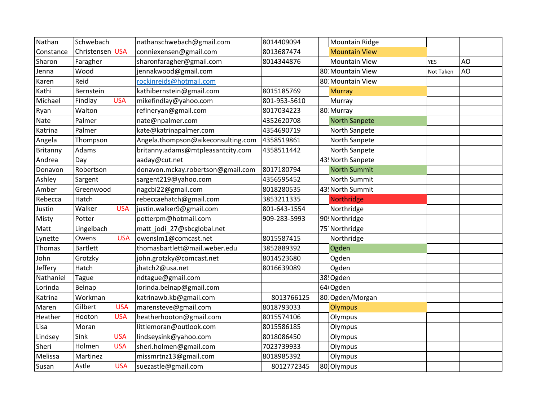| Nathan    | Schwebach       |            | nathanschwebach@gmail.com          | 8014409094   | <b>Mountain Ridge</b> |            |    |
|-----------|-----------------|------------|------------------------------------|--------------|-----------------------|------------|----|
| Constance | Christensen USA |            | conniexensen@gmail.com             | 8013687474   | <b>Mountain View</b>  |            |    |
| Sharon    | Faragher        |            | sharonfaragher@gmail.com           | 8014344876   | <b>Mountain View</b>  | <b>YES</b> | AO |
| Jenna     | Wood            |            | jennakwood@gmail.com               |              | 80 Mountain View      | Not Taken  | AO |
| Karen     | Reid            |            | rockinreids@hotmail.com            |              | 80 Mountain View      |            |    |
| Kathi     | Bernstein       |            | kathibernstein@gmail.com           | 8015185769   | <b>Murray</b>         |            |    |
| Michael   | Findlay         | <b>USA</b> | mikefindlay@yahoo.com              | 801-953-5610 | Murray                |            |    |
| Ryan      | Walton          |            | refineryan@gmail.com               | 8017034223   | 80 Murray             |            |    |
| Nate      | Palmer          |            | nate@npalmer.com                   | 4352620708   | <b>North Sanpete</b>  |            |    |
| Katrina   | Palmer          |            | kate@katrinapalmer.com             | 4354690719   | North Sanpete         |            |    |
| Angela    | Thompson        |            | Angela.thompson@aikeconsulting.com | 4358519861   | North Sanpete         |            |    |
| Britanny  | Adams           |            | britanny.adams@mtpleasantcity.com  | 4358511442   | North Sanpete         |            |    |
| Andrea    | Day             |            | aaday@cut.net                      |              | 43! North Sanpete     |            |    |
| Donavon   | Robertson       |            | donavon.mckay.robertson@gmail.com  | 8017180794   | <b>North Summit</b>   |            |    |
| Ashley    | Sargent         |            | sargent219@yahoo.com               | 4356595452   | North Summit          |            |    |
| Amber     | Greenwood       |            | nagcbi22@gmail.com                 | 8018280535   | 43 North Summit       |            |    |
| Rebecca   | Hatch           |            | rebeccaehatch@gmail.com            | 3853211335   | Northridge            |            |    |
| Justin    | Walker          | <b>USA</b> | justin.walker9@gmail.com           | 801-643-1554 | Northridge            |            |    |
| Misty     | Potter          |            | potterpm@hotmail.com               | 909-283-5993 | 90! Northridge        |            |    |
| Matt      | Lingelbach      |            | matt_jodi_27@sbcglobal.net         |              | 75 Northridge         |            |    |
| Lynette   | Owens           | <b>USA</b> | owenslm1@comcast.net               | 8015587415   | Northridge            |            |    |
| Thomas    | <b>Bartlett</b> |            | thomasbartlett@mail.weber.edu      | 3852889392   | Ogden                 |            |    |
| John      | Grotzky         |            | john.grotzky@comcast.net           | 8014523680   | Ogden                 |            |    |
| Jeffery   | Hatch           |            | jhatch2@usa.net                    | 8016639089   | Ogden                 |            |    |
| Nathaniel | <b>Tague</b>    |            | ndtague@gmail.com                  |              | 38! Ogden             |            |    |
| Lorinda   | Belnap          |            | lorinda.belnap@gmail.com           |              | 64 Ogden              |            |    |
| Katrina   | Workman         |            | katrinawb.kb@gmail.com             | 8013766125   | 80 Ogden/Morgan       |            |    |
| Maren     | Gilbert         | <b>USA</b> | marensteve@gmail.com               | 8018793033   | <b>Olympus</b>        |            |    |
| Heather   | Hooton          | <b>USA</b> | heatherhooton@gmail.com            | 8015574106   | Olympus               |            |    |
| Lisa      | Moran           |            | littlemoran@outlook.com            | 8015586185   | Olympus               |            |    |
| Lindsey   | Sink            | <b>USA</b> | lindseysink@yahoo.com              | 8018086450   | Olympus               |            |    |
| Sheri     | Holmen          | <b>USA</b> | sheri.holmen@gmail.com             | 7023739933   | Olympus               |            |    |
| Melissa   | Martinez        |            | missmrtnz13@gmail.com              | 8018985392   | Olympus               |            |    |
| Susan     | Astle           | <b>USA</b> | suezastle@gmail.com                | 8012772345   | 80 Olympus            |            |    |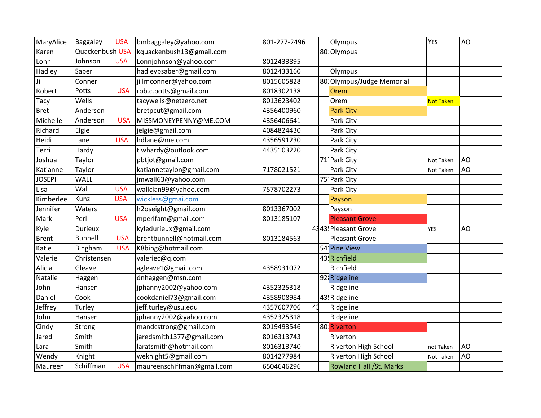| MaryAlice     | Baggaley        | <b>USA</b> | bmbaggaley@yahoo.com       | 801-277-2496 |                | Olympus                        | <b>YES</b> | AO |
|---------------|-----------------|------------|----------------------------|--------------|----------------|--------------------------------|------------|----|
| Karen         | Quackenbush USA |            | kquackenbush13@gmail.com   |              |                | 80 Olympus                     |            |    |
| Lonn          | Johnson         | <b>USA</b> | Lonnjohnson@yahoo.com      | 8012433895   |                |                                |            |    |
| Hadley        | Saber           |            | hadleybsaber@gmail.com     | 8012433160   |                | Olympus                        |            |    |
| Jill          | Conner          |            | jillmconner@yahoo.com      | 8015605828   |                | 80 Olympus/Judge Memorial      |            |    |
| Robert        | Potts           | <b>USA</b> | rob.c.potts@gmail.com      | 8018302138   |                | Orem                           |            |    |
| Tacy          | Wells           |            | tacywells@netzero.net      | 8013623402   |                | Orem                           | Not Taken  |    |
| <b>Bret</b>   | Anderson        |            | bretpcut@gmail.com         | 4356400960   |                | <b>Park City</b>               |            |    |
| Michelle      | Anderson        | <b>USA</b> | MISSMONEYPENNY@ME.COM      | 4356406641   |                | Park City                      |            |    |
| Richard       | Elgie           |            | jelgie@gmail.com           | 4084824430   |                | Park City                      |            |    |
| Heidi         | Lane            | <b>USA</b> | hdlane@me.com              | 4356591230   |                | Park City                      |            |    |
| Terri         | Hardy           |            | tlwhardy@outlook.com       | 4435103220   |                | Park City                      |            |    |
| Joshua        | Taylor          |            | pbtjot@gmail.com           |              |                | 71 Park City                   | Not Taken  | AO |
| Katianne      | Taylor          |            | katiannetaylor@gmail.com   | 7178021521   |                | Park City                      | Not Taken  | AO |
| <b>JOSEPH</b> | WALL            |            | jmwall63@yahoo.com         |              |                | 75 Park City                   |            |    |
| Lisa          | Wall            | <b>USA</b> | wallclan99@yahoo.com       | 7578702273   |                | Park City                      |            |    |
| Kimberlee     | Kunz            | <b>USA</b> | wickless@gmai.com          |              |                | Payson                         |            |    |
| Jennifer      | Waters          |            | h2oseight@gmail.com        | 8013367002   |                | Payson                         |            |    |
| Mark          | Perl            | <b>USA</b> | mperlfam@gmail.com         | 8013185107   |                | <b>Pleasant Grove</b>          |            |    |
| Kyle          | <b>Durieux</b>  |            | kyledurieux@gmail.com      |              |                | 4343! Pleasant Grove           | <b>YES</b> | AO |
| <b>Brent</b>  | <b>Bunnell</b>  | <b>USA</b> | brentbunnell@hotmail.com   | 8013184563   |                | <b>Pleasant Grove</b>          |            |    |
| Katie         | Bingham         | <b>USA</b> | K8bing@hotmail.com         |              |                | 54 Pine View                   |            |    |
| Valerie       | Christensen     |            | valeriec@q.com             |              |                | 43! Richfield                  |            |    |
| Alicia        | Gleave          |            | agleave1@gmail.com         | 4358931072   |                | Richfield                      |            |    |
| Natalie       | Haggen          |            | dnhaggen@msn.com           |              |                | 92 Ridgeline                   |            |    |
| John          | Hansen          |            | jphanny2002@yahoo.com      | 4352325318   |                | Ridgeline                      |            |    |
| Daniel        | Cook            |            | cookdaniel73@gmail.com     | 4358908984   |                | 43 Ridgeline                   |            |    |
| Jeffrey       | Turley          |            | jeff.turley@usu.edu        | 4357607706   | 4 <sup>1</sup> | Ridgeline                      |            |    |
| John          | Hansen          |            | jphanny2002@yahoo.com      | 4352325318   |                | Ridgeline                      |            |    |
| Cindy         | Strong          |            | mandcstrong@gmail.com      | 8019493546   |                | 80 Riverton                    |            |    |
| Jared         | Smith           |            | jaredsmith1377@gmail.com   | 8016313743   |                | Riverton                       |            |    |
| Lara          | Smith           |            | laratsmith@hotmail.com     | 8016313740   |                | Riverton High School           | not Taken  | AO |
| Wendy         | Knight          |            | weknight5@gmail.com        | 8014277984   |                | Riverton High School           | Not Taken  | AO |
| Maureen       | Schiffman       | <b>USA</b> | maureenschiffman@gmail.com | 6504646296   |                | <b>Rowland Hall /St. Marks</b> |            |    |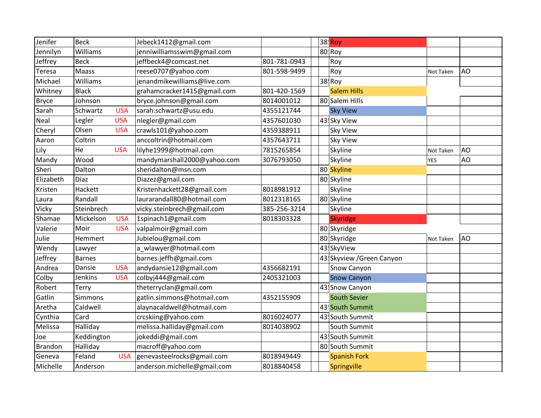| Jenifer      | <b>Beck</b>   |            | Jebeck1412@gmail.com        |              | <b>38 Roy</b>             |            |           |
|--------------|---------------|------------|-----------------------------|--------------|---------------------------|------------|-----------|
| Jennilyn     | Williams      |            | jenniwilliamsswim@gmail.com |              | 80 Roy                    |            |           |
| Jeffrey      | <b>Beck</b>   |            | jeffbeck4@comcast.net       | 801-781-0943 | Roy                       |            |           |
| Teresa       | Maass         |            | reese0707@yahoo.com         | 801-598-9499 | Roy                       | Not Taken  | AO        |
| Michael      | Williams      |            | jenandmikewilliams@live.com |              | 38 Roy                    |            |           |
| Whitney      | <b>Black</b>  |            | grahamcracker1415@gmail.com | 801-420-1569 | <b>Salem Hills</b>        |            |           |
| <b>Bryce</b> | Johnson       |            | bryce.johnson@gmail.com     | 8014001012   | 80 Salem Hills            |            |           |
| Sarah        | Schwartz      | <b>USA</b> | sarah.schwartz@usu.edu      | 4355121744   | <b>Sky View</b>           |            |           |
| Neal         | Legler        | <b>USA</b> | nlegler@gmail.com           | 4357601030   | 43 Sky View               |            |           |
| Cheryl       | Olsen         | <b>USA</b> | crawls101@yahoo.com         | 4359388911   | Sky View                  |            |           |
| Aaron        | Coltrin       |            | anccoltrin@hotmail.com      | 4357643711   | Sky View                  |            |           |
| Lily         | He            | <b>USA</b> | lilyhe1999@hotmail.com      | 7815265854   | Skyline                   | Not Taken  | AO        |
| Mandy        | Wood          |            | mandymarshall2000@yahoo.com | 3076793050   | Skyline                   | <b>YES</b> | <b>AO</b> |
| Sheri        | Dalton        |            | sheridalton@msn.com         |              | 80: Skyline               |            |           |
| Elizabeth    | Diaz          |            | Diazez@gmail.com            |              | 80 Skyline                |            |           |
| Kristen      | Hackett       |            | Kristenhackett28@gmail.com  | 8018981912   | Skyline                   |            |           |
| Laura        | Randall       |            | laurarandall80@hotmail.com  | 8012318165   | 80 Skyline                |            |           |
| Vicky        | Steinbrech    |            | vicky.steinbrech@gmail.com  | 385-256-3214 | Skyline                   |            |           |
| Shamae       | Mickelson     | <b>USA</b> | 1spinach1@gmail.com         | 8018303328   | Skyridge                  |            |           |
| Valerie      | Moir          | <b>USA</b> | valpalmoir@gmail.com        |              | 80 Skyridge               |            |           |
| Julie        | Hemmert       |            | Jubielou@gmail.com          |              | 80 Skyridge               | Not Taken  | AO        |
| Wendy        | Lawyer        |            | a wlawyer@hotmail.com       |              | 43. SkyView               |            |           |
| Jeffrey      | <b>Barnes</b> |            | barnes.jeffh@gmail.com      |              | 43 Skyview / Green Canyon |            |           |
| Andrea       | Dansie        | <b>USA</b> | andydansie12@gmail.com      | 4356682191   | Snow Canyon               |            |           |
| Colby        | Jenkins       | <b>USA</b> | colbyj444@gmail.com         | 2405321003   | <b>Snow Canyon</b>        |            |           |
| Robert       | Terry         |            | theterryclan@gmail.com      |              | 43! Snow Canyon           |            |           |
| Gatlin       | Simmons       |            | gatlin.simmons@hotmail.com  | 4352155909   | <b>South Sevier</b>       |            |           |
| Aretha       | Caldwell      |            | alaynacaldwell@hotmail.com  |              | 43! South Summit          |            |           |
| Cynthia      | Card          |            | crcskiing@yahoo.com         | 8016024077   | 43 South Summit           |            |           |
| Melissa      | Halliday      |            | melissa.halliday@gmail.com  | 8014038902   | South Summit              |            |           |
| Joe          | Keddington    |            | jokeddi@gmail.com           |              | 43 South Summit           |            |           |
| Brandon      | Halliday      |            | macroff@yahoo.com           |              | 80 South Summit           |            |           |
| Geneva       | Feland        | <b>USA</b> | genevasteelrocks@gmail.com  | 8018949449   | <b>Spanish Fork</b>       |            |           |
| Michelle     | Anderson      |            | anderson.michelle@gmail.com | 8018840458   | Springville               |            |           |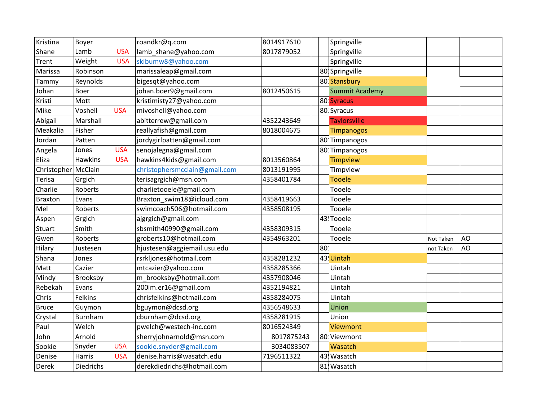| Kristina              | Boyer            |            | roandkr@q.com                 | 8014917610 | Springville           |           |           |
|-----------------------|------------------|------------|-------------------------------|------------|-----------------------|-----------|-----------|
| Shane                 | Lamb             | <b>USA</b> | lamb_shane@yahoo.com          | 8017879052 | Springville           |           |           |
| Trent                 | Weight           | <b>USA</b> | skibumw8@yahoo.com            |            | Springville           |           |           |
| Marissa               | Robinson         |            | marissaleap@gmail.com         |            | 80 Springville        |           |           |
| Tammy                 | Reynolds         |            | bigesqt@yahoo.com             |            | 80: Stansbury         |           |           |
| Johan                 | Boer             |            | johan.boer9@gmail.com         | 8012450615 | <b>Summit Academy</b> |           |           |
| Kristi                | Mott             |            | kristimisty27@yahoo.com       |            | 80 Syracus            |           |           |
| Mike                  | Voshell          | <b>USA</b> | mivoshell@yahoo.com           |            | 80 Syracus            |           |           |
| Abigail               | Marshall         |            | abitterrew@gmail.com          | 4352243649 | <b>Taylorsville</b>   |           |           |
| Meakalia              | Fisher           |            | reallyafish@gmail.com         | 8018004675 | <b>Timpanogos</b>     |           |           |
| Jordan                | Patten           |            | jordygirlpatten@gmail.com     |            | 80 Timpanogos         |           |           |
| Angela                | Jones            | <b>USA</b> | senojalegna@gmail.com         |            | 80 Timpanogos         |           |           |
| Eliza                 | <b>Hawkins</b>   | <b>USA</b> | hawkins4kids@gmail.com        | 8013560864 | <b>Timpview</b>       |           |           |
| Christopher   McClain |                  |            | christophersmcclain@gmail.com | 8013191995 | Timpview              |           |           |
| Terisa                | Grgich           |            | terisagrgich@msn.com          | 4358401784 | <b>Tooele</b>         |           |           |
| Charlie               | Roberts          |            | charlietooele@gmail.com       |            | Tooele                |           |           |
| <b>Braxton</b>        | Evans            |            | Braxton_swim18@icloud.com     | 4358419663 | Tooele                |           |           |
| Mel                   | Roberts          |            | swimcoach506@hotmail.com      | 4358508195 | Tooele                |           |           |
| Aspen                 | Grgich           |            | ajgrgich@gmail.com            |            | 43! Tooele            |           |           |
| Stuart                | Smith            |            | sbsmith40990@gmail.com        | 4358309315 | Tooele                |           |           |
| Gwen                  | Roberts          |            | groberts10@hotmail.com        | 4354963201 | Tooele                | Not Taken | <b>AO</b> |
| Hilary                | Justesen         |            | hjustesen@aggiemail.usu.edu   |            | 80                    | not Taken | <b>AO</b> |
| Shana                 | Jones            |            | rsrkljones@hotmail.com        | 4358281232 | 43! Uintah            |           |           |
| Matt                  | Cazier           |            | mtcazier@yahoo.com            | 4358285366 | Uintah                |           |           |
| Mindy                 | Brooksby         |            | m brooksby@hotmail.com        | 4357908046 | Uintah                |           |           |
| Rebekah               | Evans            |            | 200im.er16@gmail.com          | 4352194821 | Uintah                |           |           |
| Chris                 | Felkins          |            | chrisfelkins@hotmail.com      | 4358284075 | Uintah                |           |           |
| <b>Bruce</b>          | Guymon           |            | bguymon@dcsd.org              | 4356548633 | Union                 |           |           |
| Crystal               | Burnham          |            | cburnham@dcsd.org             | 4358281915 | Union                 |           |           |
| Paul                  | Welch            |            | pwelch@westech-inc.com        | 8016524349 | <b>Viewmont</b>       |           |           |
| John                  | Arnold           |            | sherryjohnarnold@msn.com      | 8017875243 | 80 Viewmont           |           |           |
| Sookie                | Snyder           | <b>USA</b> | sookie.snyder@gmail.com       | 3034083507 | Wasatch               |           |           |
| Denise                | Harris           | <b>USA</b> | denise.harris@wasatch.edu     | 7196511322 | 43 Wasatch            |           |           |
| Derek                 | <b>Diedrichs</b> |            | derekdiedrichs@hotmail.com    |            | 81! Wasatch           |           |           |